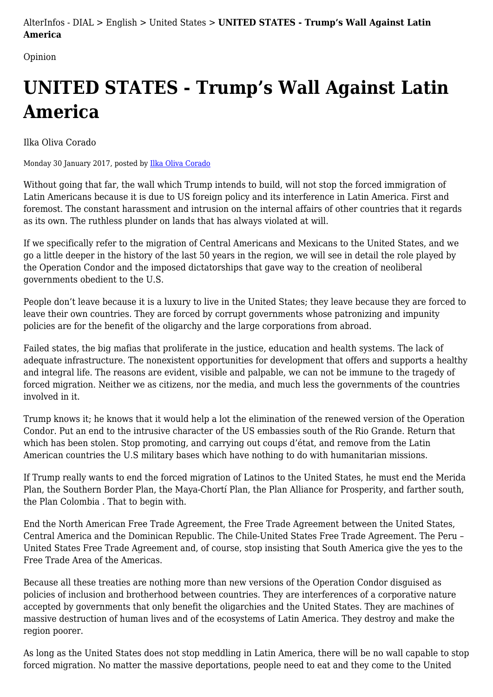AlterInfos - DIAL > English > United States > **UNITED STATES - Trump's Wall Against Latin America**

Opinion

## **UNITED STATES - Trump's Wall Against Latin America**

Ilka Oliva Corado

Monday 30 January 2017, posted by [Ilka Oliva Corado](https://www.alterinfos.org/spip.php?auteur184)

Without going that far, the wall which Trump intends to build, will not stop the forced immigration of Latin Americans because it is due to US foreign policy and its interference in Latin America. First and foremost. The constant harassment and intrusion on the internal affairs of other countries that it regards as its own. The ruthless plunder on lands that has always violated at will.

If we specifically refer to the migration of Central Americans and Mexicans to the United States, and we go a little deeper in the history of the last 50 years in the region, we will see in detail the role played by the Operation Condor and the imposed dictatorships that gave way to the creation of neoliberal governments obedient to the U.S.

People don't leave because it is a luxury to live in the United States; they leave because they are forced to leave their own countries. They are forced by corrupt governments whose patronizing and impunity policies are for the benefit of the oligarchy and the large corporations from abroad.

Failed states, the big mafias that proliferate in the justice, education and health systems. The lack of adequate infrastructure. The nonexistent opportunities for development that offers and supports a healthy and integral life. The reasons are evident, visible and palpable, we can not be immune to the tragedy of forced migration. Neither we as citizens, nor the media, and much less the governments of the countries involved in it.

Trump knows it; he knows that it would help a lot the elimination of the renewed version of the Operation Condor. Put an end to the intrusive character of the US embassies south of the Rio Grande. Return that which has been stolen. Stop promoting, and carrying out coups d'état, and remove from the Latin American countries the U.S military bases which have nothing to do with humanitarian missions.

If Trump really wants to end the forced migration of Latinos to the United States, he must end the Merida Plan, the Southern Border Plan, the Maya-Chortí Plan, the Plan Alliance for Prosperity, and farther south, the Plan Colombia . That to begin with.

End the North American Free Trade Agreement, the Free Trade Agreement between the United States, Central America and the Dominican Republic. The Chile-United States Free Trade Agreement. The Peru – United States Free Trade Agreement and, of course, stop insisting that South America give the yes to the Free Trade Area of the Americas.

Because all these treaties are nothing more than new versions of the Operation Condor disguised as policies of inclusion and brotherhood between countries. They are interferences of a corporative nature accepted by governments that only benefit the oligarchies and the United States. They are machines of massive destruction of human lives and of the ecosystems of Latin America. They destroy and make the region poorer.

As long as the United States does not stop meddling in Latin America, there will be no wall capable to stop forced migration. No matter the massive deportations, people need to eat and they come to the United